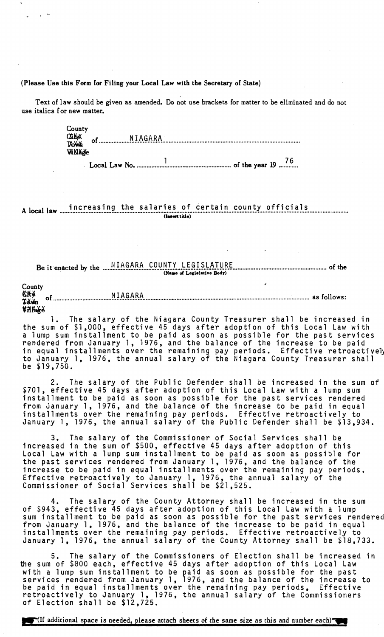(Please Use this Form for Filing your Local Law with the Secretary of State)

Text of law should be given as amended. Do not use brackets for matter to be eliminated and do not use italics for new matter.

> County **ClikoX** of NIAGARA **TXXWA** WNAge

A local law increasing the salaries of certain county officials (Insert title)

(Name of Legislative Body)

County CXX Tăm **Village** 

1. The salary of the Niagara County Treasurer shall be increased in<br>the sum of \$1,000, effective 45 days after adoption of this Local Law with<br>a lump sum installment to be paid as soon as possible for the past services<br>ren be  $$19,750.$ 

2. The salary of the Public Defender shall be increased in the sum of \$701, effective 45 days after adoption of this Local Law with a lump sum installment to be paid as soon as possible for the past services rendered from January 1, 1976, and the balance of the increase to be paid in equal installments over the remaining pay periods. Effective retroactively to January 1, 1976, the annual salary of the Public Defender shall be \$13,934.

3. The salary of the Commissioner of Social Services shall be<br>increased in the sum of \$500, effective 45 days after adoption of this Local Law with a lump sum installment to be paid as soon as possible for the past services rendered from January 1, 1976, and the balance of the increase to be paid in equal installments over the remaining pay periods.<br>Effective retroactively to January 1, 1976, the annual salary of the<br>Commissioner of Social Services shall be \$21,525.

4. The salary of the County Attorney shall be increased in the sum<br>of \$943, effective 45 days after adoption of this Local Law with a lump sum installment to be paid as soon as possible for the past services rendered from January 1, 1976, and the balance of the increase to be paid in equal installments over the remaining pay periods. Effective retroactively to January 1, 1976, the annual salary of the County Attorney shall be \$18,733.

5. The salary of the Commissioners of Election shall be increased in<br>the sum of \$800 each, effective 45 days after adoption of this Local Law with a lump sum installment to be paid as soon as possible for the past<br>services rendered from January 1, 1976, and the balance of the increase to<br>be paid in equal installments over the remaining pay periods. Effective<br>ret

"(If additional space is needed, please attach sheets of the same size as this and number each)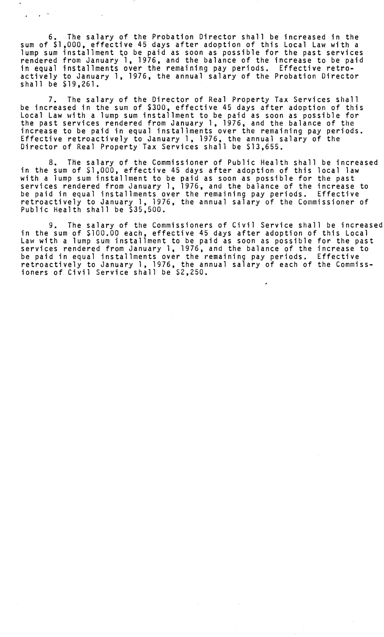6. The salary of the Probation Director shall be increased in the sum of \$1,000, effective 45 days after adoption of this Local Law with a lump sum installment to be paid as soon as possible for the past services rendered from January 1, 1976, and the balance of the increase to be paid in equal installments over the remaining pay periods. Effective retroactively to January 1, 1976, the annual salary of the Probation Director shall be \$19,261.

 $\sim 10^{-10}$ 

The salary of the Director of Real Property Tax Services shall be increased in the sum of \$300, effective 45 days after adoption of this Local Law with a lump sum installment to be paid as soon as possible for the past services rendered from January 1, 1976, and the balance of the increase to be paid in equal installments over the remaining pay periods. Effective retroactively to January 1, 1976, the annual salary of the Director of Real Property Tax Services shall be \$13,655.

8. The salary of the Commissioner of Public Health shall be increased in the sum of \$1,000, effective 45 days after adoption of this local law with a lump sum installment to be paid as soon as possible for the past<br>services rendered from January 1, 1976, and the balance of the increase to be paid in equal installments over the remaining pay periods. Effective retroactively to January 1, 1976, the annual salary of the Commissioner of Public Health shall be \$35,500.

9. The salary of the Commissioners of Civil Service shall be increased in the sum of \$100.00 each, effective 45 days after adoption of this Local Law with a lump sum installment to be paid as soon as possible for the past<br>services rendered from January 1, 1976, and the balance of the increase to be paid in equal installments over the remaining pay periods. Effective retroactively to January 1, 1976, the annual salary of each of the Commissioners of Civil Service shall be \$2,250.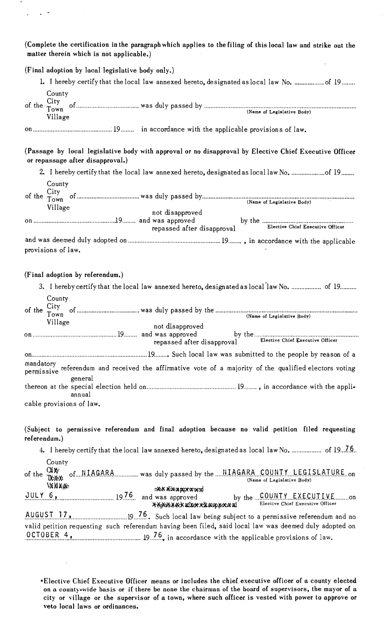(Complete the certification in the paragraph which applies to the filing of this local law and strike out the matter therein which is not applicable.)

(Final adoption by local legislative body only.)

 $\epsilon$ 

 $\overline{a}$ 

| County<br>$\bigcap_{i\in I}$ |  |  |  |  |  |
|------------------------------|--|--|--|--|--|

| of the $\frac{U_1}{T}$ | City    |                            |
|------------------------|---------|----------------------------|
|                        | ∵own    | (Name of Legislative Body) |
|                        | Village |                            |
|                        |         |                            |

## on ............................................... : 19........ in accordance with the applicable provisions of law.

(Passage by local legislative body with approval or no disapproval by Elective Chief Executive Officer or repassage after disapproval.)

2. I hereby certify that the local law annexed hereto, designated as local law No. ........................... of 19........ County<br>City

| Village                        | not disapproved<br>repassed after disapproval |                                                                                                                                                                                                                                                                                               |  |  |  |  |  |
|--------------------------------|-----------------------------------------------|-----------------------------------------------------------------------------------------------------------------------------------------------------------------------------------------------------------------------------------------------------------------------------------------------|--|--|--|--|--|
| and was deemed duly adopted on |                                               | $\frac{1}{2}$ and $\frac{1}{2}$ and $\frac{1}{2}$ and $\frac{1}{2}$ and $\frac{1}{2}$ and $\frac{1}{2}$ and $\frac{1}{2}$ and $\frac{1}{2}$ and $\frac{1}{2}$ and $\frac{1}{2}$ and $\frac{1}{2}$ and $\frac{1}{2}$ and $\frac{1}{2}$ and $\frac{1}{2}$ and $\frac{1}{2}$ and $\frac{1}{2}$ a |  |  |  |  |  |

and was deemed duly adopted on ........................................................ 19 ........ ,in accordance with the applicable provisions of law.

## (Final adoption by referendum.)

| 3. I hereby certify that the local law annexed hereto, designated as local law No.  of 19                           |
|---------------------------------------------------------------------------------------------------------------------|
| County<br>Village<br>not disapproved                                                                                |
|                                                                                                                     |
| repassed after disapproval Elective Chief Executive Officer                                                         |
|                                                                                                                     |
| mandatory<br>permissive referendum and received the affirmative vote of a majority of the qualified electors voting |
| general                                                                                                             |
| annual                                                                                                              |
| cable provisions of law.                                                                                            |

(Subject to permissive referendum and final adoption because no valid petition filed requesting referendum. )

4. I hereby certify that the local law annexed hereto, designated as local law No. .................. of 19...7.6..

## County<br>of the Thom of....N.IAGARA ................ was duly passed by the ..... NIAGARA ... COUNTY ... LEGISLATURE..on JNI\'AI (Name of Legislative Body)  $\sim$

| JULY 6,   | $\frac{19.76}{2}$ |  |  | пол аваритаует<br>and was approved |  |  |  |  | Elective Chief Executive Officer |  |
|-----------|-------------------|--|--|------------------------------------|--|--|--|--|----------------------------------|--|
| AUCHST 17 |                   |  |  |                                    |  |  |  |  |                                  |  |

.~.~.~~.~.I ... J.? .. L ................................ 19 .. .!..~. Such local law being subject to a permissive referendum and no valid petition requesting such referendum having been filed, said local law was deemed duly adopted on .9.~.!.~.~ .. ~.~ .... ~.!. ......................................... 19 .. !..~., in accordance with the applicable provisions of law.

\*Elective Chief Executive Officer means or includes the chief executive officer of a county elected on a county-wide basis or if there be none the chairman of the board of supervisors, the mayor of a city or village or the supervisor of a town, where such officer is vested with power to approve or veto local laws or ordinances.